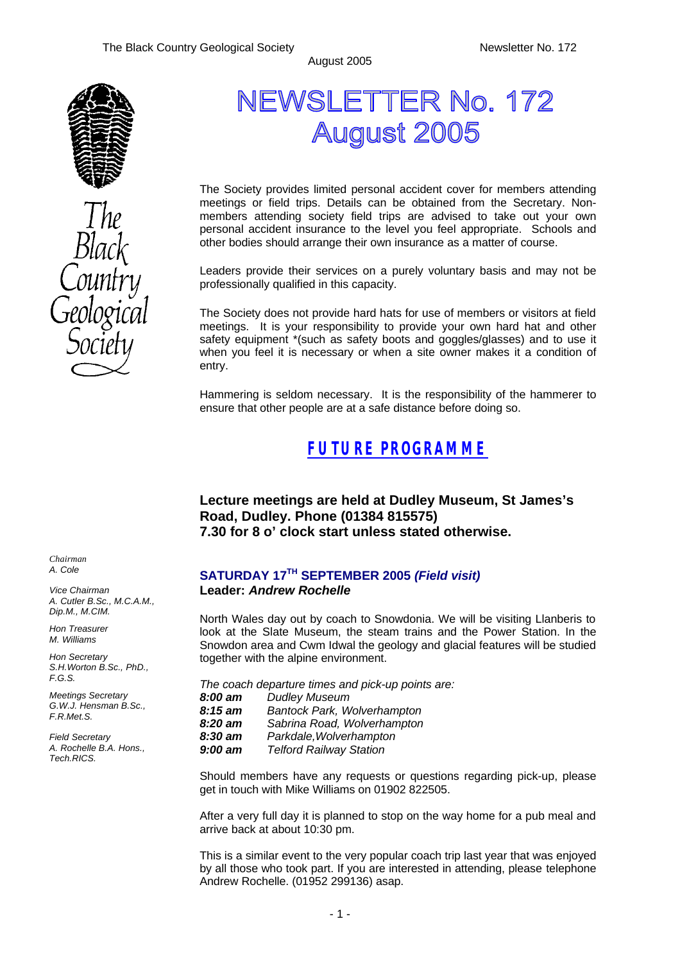August 2005



# NEWSLETTER No. 172 **August 2005**

The Society provides limited personal accident cover for members attending meetings or field trips. Details can be obtained from the Secretary. Nonmembers attending society field trips are advised to take out your own personal accident insurance to the level you feel appropriate. Schools and other bodies should arrange their own insurance as a matter of course.

Leaders provide their services on a purely voluntary basis and may not be professionally qualified in this capacity.

The Society does not provide hard hats for use of members or visitors at field meetings. It is your responsibility to provide your own hard hat and other safety equipment \*(such as safety boots and goggles/glasses) and to use it when you feel it is necessary or when a site owner makes it a condition of entry.

Hammering is seldom necessary. It is the responsibility of the hammerer to ensure that other people are at a safe distance before doing so.

## *FUTURE PROGRAMME*

**Lecture meetings are held at Dudley Museum, St James's Road, Dudley. Phone (01384 815575) 7.30 for 8 o' clock start unless stated otherwise.**

#### **SATURDAY 17TH SEPTEMBER 2005** *(Field visit)* **Leader:** *Andrew Rochelle*

North Wales day out by coach to Snowdonia. We will be visiting Llanberis to look at the Slate Museum, the steam trains and the Power Station. In the Snowdon area and Cwm Idwal the geology and glacial features will be studied together with the alpine environment.

*The coach departure times and pick-up points are: 8:00 am Dudley Museum 8:15 am Bantock Park, Wolverhampton 8:20 am Sabrina Road, Wolverhampton 8:30 am Parkdale,Wolverhampton 9:00 am Telford Railway Station*

Should members have any requests or questions regarding pick-up, please get in touch with Mike Williams on 01902 822505.

After a very full day it is planned to stop on the way home for a pub meal and arrive back at about 10:30 pm.

This is a similar event to the very popular coach trip last year that was enjoyed by all those who took part. If you are interested in attending, please telephone Andrew Rochelle. (01952 299136) asap.

*Chairman A. Cole*

*Vice Chairman A. Cutler B.Sc., M.C.A.M., Dip.M., M.CIM.*

*Hon Treasurer M. Williams* 

*Hon Secretary S.H.Worton B.Sc., PhD., F.G.S.*

*Meetings Secretary G.W.J. Hensman B.Sc., F.R.Met.S.*

*Field Secretary A. Rochelle B.A. Hons., Tech.RICS.*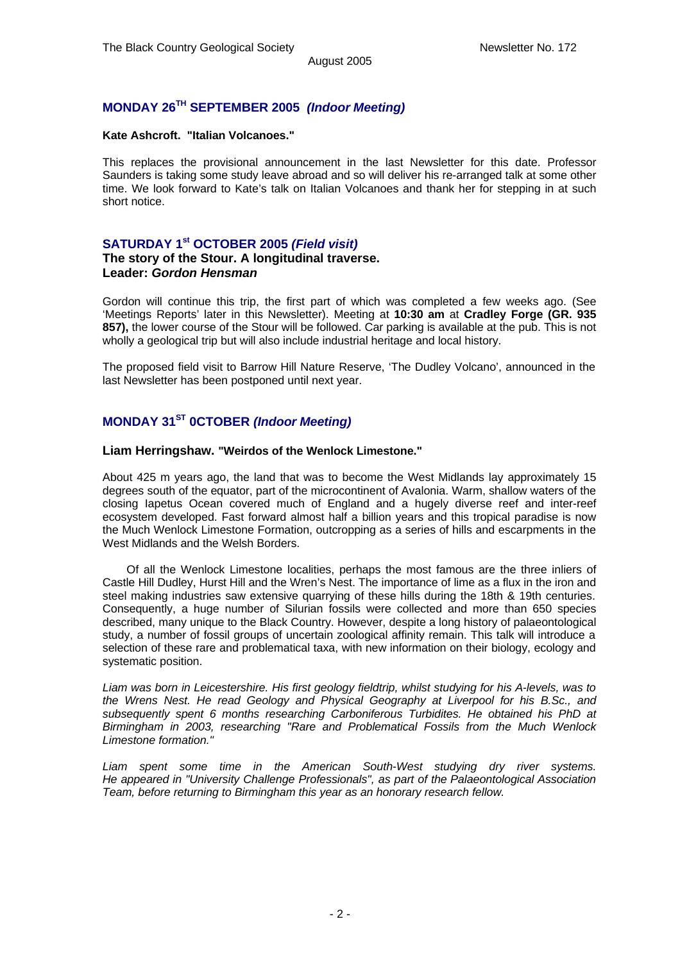### **MONDAY 26TH SEPTEMBER 2005** *(Indoor Meeting)*

#### **Kate Ashcroft. "Italian Volcanoes."**

This replaces the provisional announcement in the last Newsletter for this date. Professor Saunders is taking some study leave abroad and so will deliver his re-arranged talk at some other time. We look forward to Kate's talk on Italian Volcanoes and thank her for stepping in at such short notice.

### **SATURDAY 1st OCTOBER 2005** *(Field visit)*

#### **The story of the Stour. A longitudinal traverse. Leader:** *Gordon Hensman*

Gordon will continue this trip, the first part of which was completed a few weeks ago. (See 'Meetings Reports' later in this Newsletter). Meeting at **10:30 am** at **Cradley Forge (GR. 935 857),** the lower course of the Stour will be followed. Car parking is available at the pub. This is not wholly a geological trip but will also include industrial heritage and local history.

The proposed field visit to Barrow Hill Nature Reserve, 'The Dudley Volcano', announced in the last Newsletter has been postponed until next year.

### **MONDAY 31ST 0CTOBER** *(Indoor Meeting)*

#### **Liam Herringshaw. "Weirdos of the Wenlock Limestone."**

About 425 m years ago, the land that was to become the West Midlands lay approximately 15 degrees south of the equator, part of the microcontinent of Avalonia. Warm, shallow waters of the closing Iapetus Ocean covered much of England and a hugely diverse reef and inter-reef ecosystem developed. Fast forward almost half a billion years and this tropical paradise is now the Much Wenlock Limestone Formation, outcropping as a series of hills and escarpments in the West Midlands and the Welsh Borders.

 Of all the Wenlock Limestone localities, perhaps the most famous are the three inliers of Castle Hill Dudley, Hurst Hill and the Wren's Nest. The importance of lime as a flux in the iron and steel making industries saw extensive quarrying of these hills during the 18th & 19th centuries. Consequently, a huge number of Silurian fossils were collected and more than 650 species described, many unique to the Black Country. However, despite a long history of palaeontological study, a number of fossil groups of uncertain zoological affinity remain. This talk will introduce a selection of these rare and problematical taxa, with new information on their biology, ecology and systematic position.

*Liam was born in Leicestershire. His first geology fieldtrip, whilst studying for his A-levels, was to the Wrens Nest. He read Geology and Physical Geography at Liverpool for his B.Sc., and subsequently spent 6 months researching Carboniferous Turbidites. He obtained his PhD at Birmingham in 2003, researching "Rare and Problematical Fossils from the Much Wenlock Limestone formation."*

*Liam spent some time in the American South-West studying dry river systems. He appeared in "University Challenge Professionals", as part of the Palaeontological Association Team, before returning to Birmingham this year as an honorary research fellow.*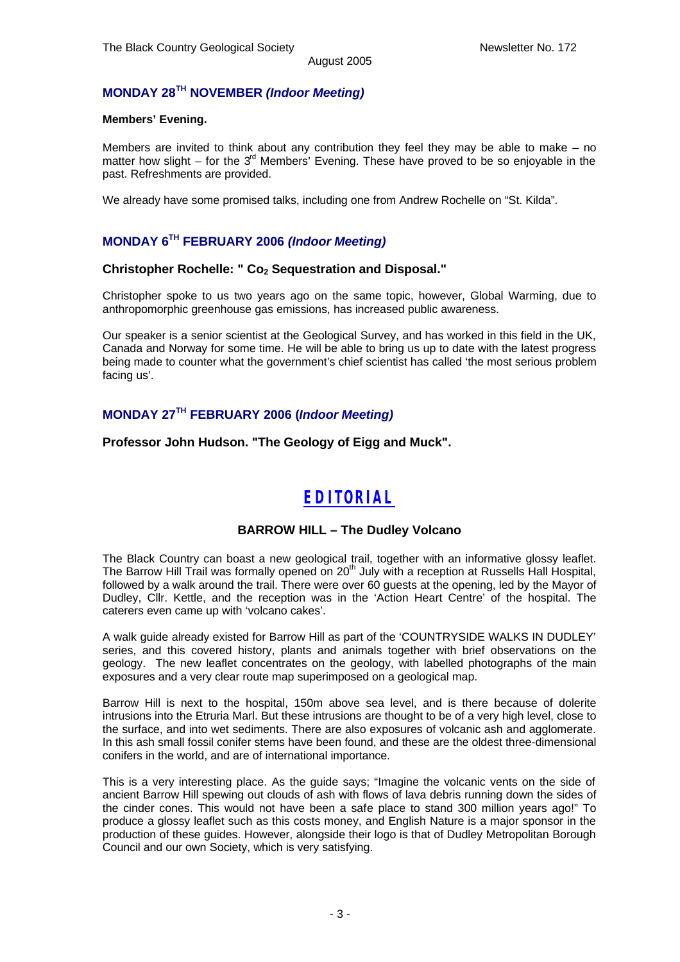### **MONDAY 28TH NOVEMBER** *(Indoor Meeting)*

#### **Members' Evening.**

Members are invited to think about any contribution they feel they may be able to make – no matter how slight – for the  $3<sup>rd</sup>$  Members' Evening. These have proved to be so enjoyable in the past. Refreshments are provided.

We already have some promised talks, including one from Andrew Rochelle on "St. Kilda".

### **MONDAY 6TH FEBRUARY 2006** *(Indoor Meeting)*

### **Christopher Rochelle: " Co2 Sequestration and Disposal."**

Christopher spoke to us two years ago on the same topic, however, Global Warming, due to anthropomorphic greenhouse gas emissions, has increased public awareness.

Our speaker is a senior scientist at the Geological Survey, and has worked in this field in the UK, Canada and Norway for some time. He will be able to bring us up to date with the latest progress being made to counter what the government's chief scientist has called 'the most serious problem facing us'.

### **MONDAY 27TH FEBRUARY 2006 (***Indoor Meeting)*

**Professor John Hudson. "The Geology of Eigg and Muck".**

# *EDITORIAL*

#### **BARROW HILL – The Dudley Volcano**

The Black Country can boast a new geological trail, together with an informative glossy leaflet. The Barrow Hill Trail was formally opened on 20<sup>th</sup> July with a reception at Russells Hall Hospital, followed by a walk around the trail. There were over 60 guests at the opening, led by the Mayor of Dudley, Cllr. Kettle, and the reception was in the 'Action Heart Centre' of the hospital. The caterers even came up with 'volcano cakes'.

A walk guide already existed for Barrow Hill as part of the 'COUNTRYSIDE WALKS IN DUDLEY' series, and this covered history, plants and animals together with brief observations on the geology. The new leaflet concentrates on the geology, with labelled photographs of the main exposures and a very clear route map superimposed on a geological map.

Barrow Hill is next to the hospital, 150m above sea level, and is there because of dolerite intrusions into the Etruria Marl. But these intrusions are thought to be of a very high level, close to the surface, and into wet sediments. There are also exposures of volcanic ash and agglomerate. In this ash small fossil conifer stems have been found, and these are the oldest three-dimensional conifers in the world, and are of international importance.

This is a very interesting place. As the guide says; "Imagine the volcanic vents on the side of ancient Barrow Hill spewing out clouds of ash with flows of lava debris running down the sides of the cinder cones. This would not have been a safe place to stand 300 million years ago!" To produce a glossy leaflet such as this costs money, and English Nature is a major sponsor in the production of these guides. However, alongside their logo is that of Dudley Metropolitan Borough Council and our own Society, which is very satisfying.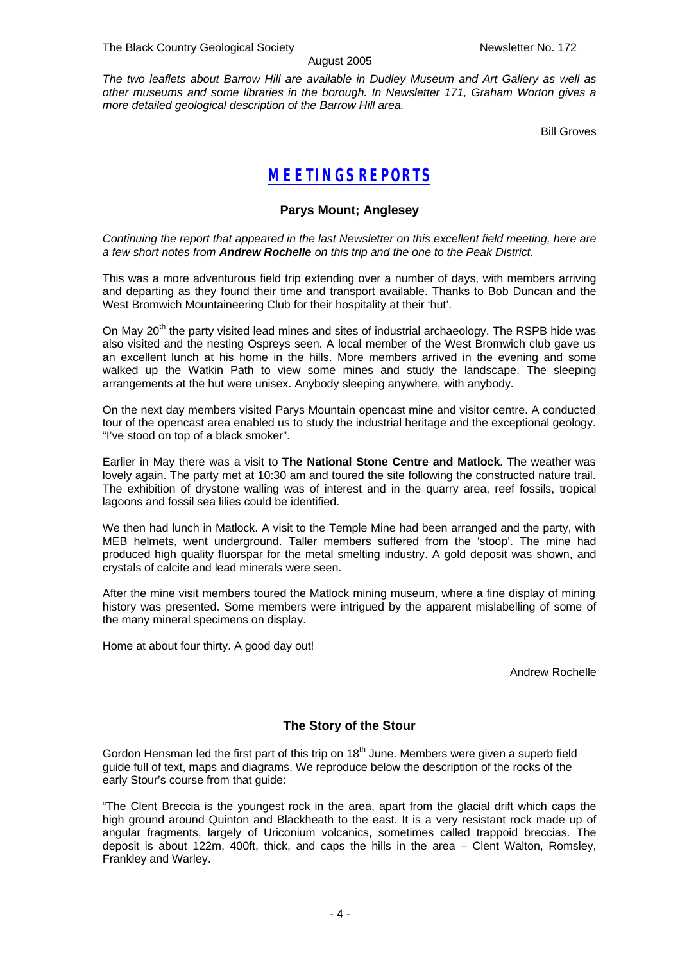#### August 2005

*The two leaflets about Barrow Hill are available in Dudley Museum and Art Gallery as well as other museums and some libraries in the borough. In Newsletter 171, Graham Worton gives a more detailed geological description of the Barrow Hill area.*

Bill Groves

# *MEETINGS REPORTS*

#### **Parys Mount; Anglesey**

*Continuing the report that appeared in the last Newsletter on this excellent field meeting, here are a few short notes from Andrew Rochelle on this trip and the one to the Peak District.*

This was a more adventurous field trip extending over a number of days, with members arriving and departing as they found their time and transport available. Thanks to Bob Duncan and the West Bromwich Mountaineering Club for their hospitality at their 'hut'.

On May 20<sup>th</sup> the party visited lead mines and sites of industrial archaeology. The RSPB hide was also visited and the nesting Ospreys seen. A local member of the West Bromwich club gave us an excellent lunch at his home in the hills. More members arrived in the evening and some walked up the Watkin Path to view some mines and study the landscape. The sleeping arrangements at the hut were unisex. Anybody sleeping anywhere, with anybody.

On the next day members visited Parys Mountain opencast mine and visitor centre. A conducted tour of the opencast area enabled us to study the industrial heritage and the exceptional geology. "I've stood on top of a black smoker".

Earlier in May there was a visit to **The National Stone Centre and Matlock**. The weather was lovely again. The party met at 10:30 am and toured the site following the constructed nature trail. The exhibition of drystone walling was of interest and in the quarry area, reef fossils, tropical lagoons and fossil sea lilies could be identified.

We then had lunch in Matlock. A visit to the Temple Mine had been arranged and the party, with MEB helmets, went underground. Taller members suffered from the 'stoop'. The mine had produced high quality fluorspar for the metal smelting industry. A gold deposit was shown, and crystals of calcite and lead minerals were seen.

After the mine visit members toured the Matlock mining museum, where a fine display of mining history was presented. Some members were intrigued by the apparent mislabelling of some of the many mineral specimens on display.

Home at about four thirty. A good day out!

Andrew Rochelle

#### **The Story of the Stour**

Gordon Hensman led the first part of this trip on  $18<sup>th</sup>$  June. Members were given a superb field guide full of text, maps and diagrams. We reproduce below the description of the rocks of the early Stour's course from that guide:

"The Clent Breccia is the youngest rock in the area, apart from the glacial drift which caps the high ground around Quinton and Blackheath to the east. It is a very resistant rock made up of angular fragments, largely of Uriconium volcanics, sometimes called trappoid breccias. The deposit is about 122m, 400ft, thick, and caps the hills in the area – Clent Walton, Romsley, Frankley and Warley.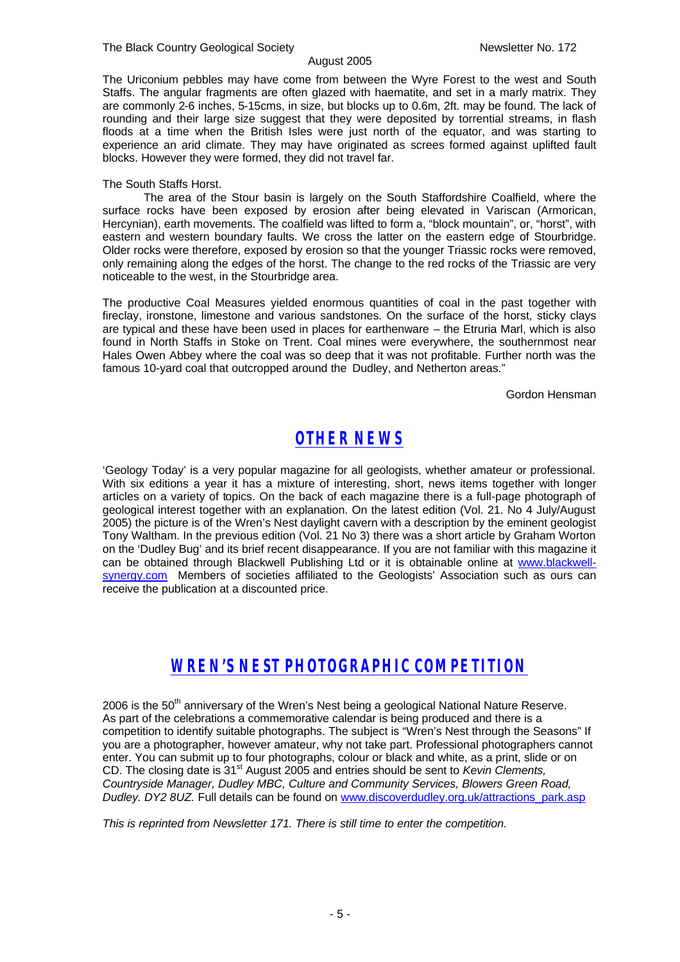#### The Black Country Geological Society Newsletter No. 172

The Uriconium pebbles may have come from between the Wyre Forest to the west and South Staffs. The angular fragments are often glazed with haematite, and set in a marly matrix. They are commonly 2-6 inches, 5-15cms, in size, but blocks up to 0.6m, 2ft. may be found. The lack of rounding and their large size suggest that they were deposited by torrential streams, in flash floods at a time when the British Isles were just north of the equator, and was starting to experience an arid climate. They may have originated as screes formed against uplifted fault blocks. However they were formed, they did not travel far.

#### The South Staffs Horst.

The area of the Stour basin is largely on the South Staffordshire Coalfield, where the surface rocks have been exposed by erosion after being elevated in Variscan (Armorican, Hercynian), earth movements. The coalfield was lifted to form a, "block mountain", or, "horst", with eastern and western boundary faults. We cross the latter on the eastern edge of Stourbridge. Older rocks were therefore, exposed by erosion so that the younger Triassic rocks were removed, only remaining along the edges of the horst. The change to the red rocks of the Triassic are very noticeable to the west, in the Stourbridge area.

The productive Coal Measures yielded enormous quantities of coal in the past together with fireclay, ironstone, limestone and various sandstones. On the surface of the horst, sticky clays are typical and these have been used in places for earthenware – the Etruria Marl, which is also found in North Staffs in Stoke on Trent. Coal mines were everywhere, the southernmost near Hales Owen Abbey where the coal was so deep that it was not profitable. Further north was the famous 10-yard coal that outcropped around the Dudley, and Netherton areas."

Gordon Hensman

# *OTHER NEWS*

'Geology Today' is a very popular magazine for all geologists, whether amateur or professional. With six editions a year it has a mixture of interesting, short, news items together with longer articles on a variety of topics. On the back of each magazine there is a full-page photograph of geological interest together with an explanation. On the latest edition (Vol. 21. No 4 July/August 2005) the picture is of the Wren's Nest daylight cavern with a description by the eminent geologist Tony Waltham. In the previous edition (Vol. 21 No 3) there was a short article by Graham Worton on the 'Dudley Bug' and its brief recent disappearance. If you are not familiar with this magazine it can be obtained through Blackwell Publishing Ltd or it is obtainable online at www.blackwellsynergy.com Members of societies affiliated to the Geologists' Association such as ours can receive the publication at a discounted price.

# *WREN'S NEST PHOTOGRAPHIC COMPETITION*

2006 is the 50<sup>th</sup> anniversary of the Wren's Nest being a geological National Nature Reserve. As part of the celebrations a commemorative calendar is being produced and there is a competition to identify suitable photographs. The subject is "Wren's Nest through the Seasons" If you are a photographer, however amateur, why not take part. Professional photographers cannot enter. You can submit up to four photographs, colour or black and white, as a print, slide or on CD. The closing date is 31st August 2005 and entries should be sent to *Kevin Clements, Countryside Manager, Dudley MBC, Culture and Community Services, Blowers Green Road, Dudley. DY2 8UZ.* Full details can be found on www.discoverdudley.org.uk/attractions\_park.asp

*This is reprinted from Newsletter 171. There is still time to enter the competition.*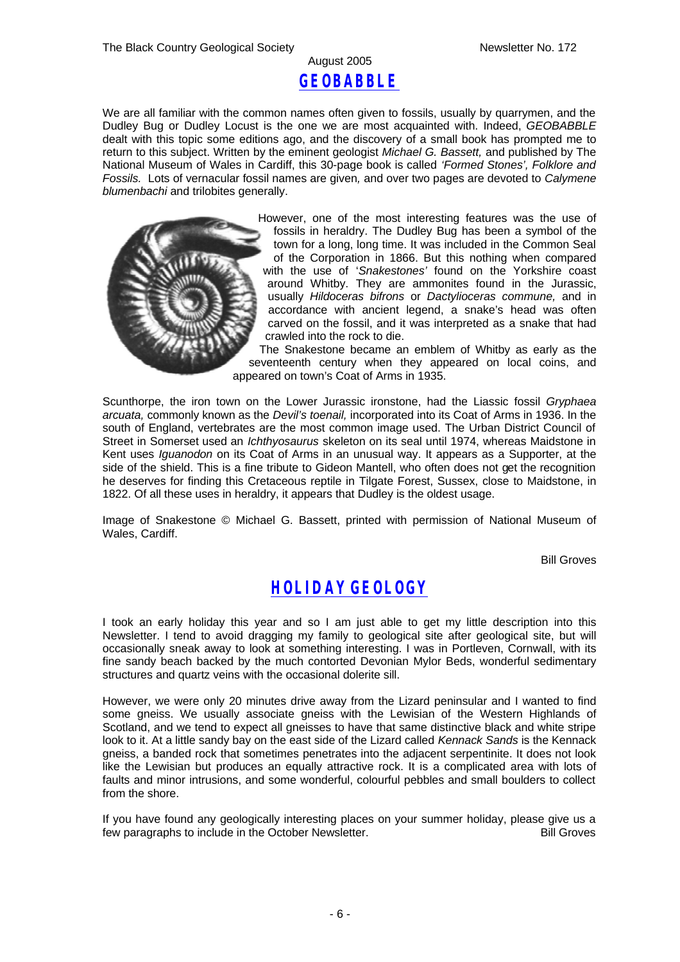## August 2005 *GEOBABBLE*

We are all familiar with the common names often given to fossils, usually by quarrymen, and the Dudley Bug or Dudley Locust is the one we are most acquainted with. Indeed, *GEOBABBLE*  dealt with this topic some editions ago, and the discovery of a small book has prompted me to return to this subject. Written by the eminent geologist *Michael G. Bassett,* and published by The National Museum of Wales in Cardiff, this 30-page book is called *'Formed Stones', Folklore and Fossils.* Lots of vernacular fossil names are given*,* and over two pages are devoted to *Calymene blumenbachi* and trilobites generally.



However, one of the most interesting features was the use of fossils in heraldry. The Dudley Bug has been a symbol of the town for a long, long time. It was included in the Common Seal of the Corporation in 1866. But this nothing when compared with the use of '*Snakestones'* found on the Yorkshire coast around Whitby. They are ammonites found in the Jurassic, usually *Hildoceras bifrons* or *Dactylioceras commune,* and in accordance with ancient legend, a snake's head was often carved on the fossil, and it was interpreted as a snake that had crawled into the rock to die.

The Snakestone became an emblem of Whitby as early as the seventeenth century when they appeared on local coins, and appeared on town's Coat of Arms in 1935.

Scunthorpe, the iron town on the Lower Jurassic ironstone, had the Liassic fossil *Gryphaea arcuata,* commonly known as the *Devil's toenail,* incorporated into its Coat of Arms in 1936. In the south of England, vertebrates are the most common image used. The Urban District Council of Street in Somerset used an *Ichthyosaurus* skeleton on its seal until 1974, whereas Maidstone in Kent uses *Iguanodon* on its Coat of Arms in an unusual way. It appears as a Supporter, at the side of the shield. This is a fine tribute to Gideon Mantell, who often does not get the recognition he deserves for finding this Cretaceous reptile in Tilgate Forest, Sussex, close to Maidstone, in 1822. Of all these uses in heraldry, it appears that Dudley is the oldest usage.

Image of Snakestone © Michael G. Bassett, printed with permission of National Museum of Wales, Cardiff.

Bill Groves

# *HOLIDAY GEOLOGY*

I took an early holiday this year and so I am just able to get my little description into this Newsletter. I tend to avoid dragging my family to geological site after geological site, but will occasionally sneak away to look at something interesting. I was in Portleven, Cornwall, with its fine sandy beach backed by the much contorted Devonian Mylor Beds, wonderful sedimentary structures and quartz veins with the occasional dolerite sill.

However, we were only 20 minutes drive away from the Lizard peninsular and I wanted to find some gneiss. We usually associate gneiss with the Lewisian of the Western Highlands of Scotland, and we tend to expect all gneisses to have that same distinctive black and white stripe look to it. At a little sandy bay on the east side of the Lizard called *Kennack Sands* is the Kennack gneiss, a banded rock that sometimes penetrates into the adjacent serpentinite. It does not look like the Lewisian but produces an equally attractive rock. It is a complicated area with lots of faults and minor intrusions, and some wonderful, colourful pebbles and small boulders to collect from the shore.

If you have found any geologically interesting places on your summer holiday, please give us a few paragraphs to include in the October Newsletter.